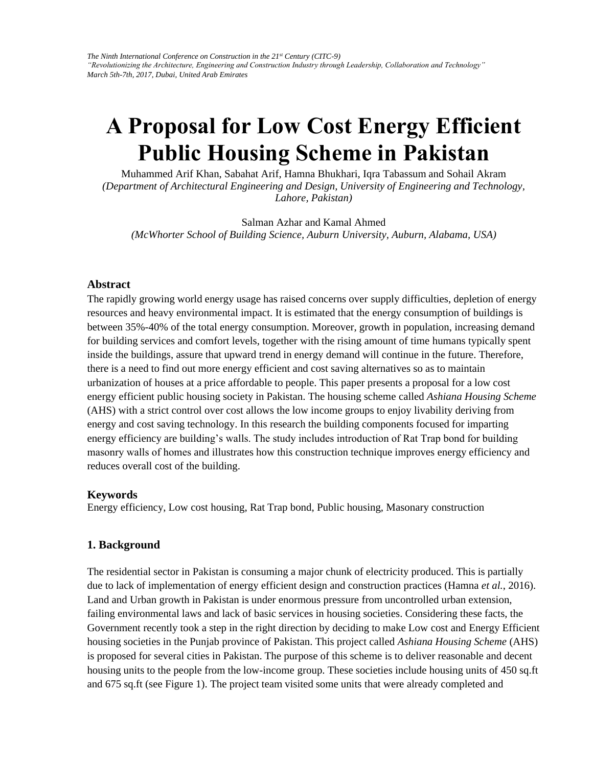# **A Proposal for Low Cost Energy Efficient Public Housing Scheme in Pakistan**

Muhammed Arif Khan, Sabahat Arif, Hamna Bhukhari, Iqra Tabassum and Sohail Akram *(Department of Architectural Engineering and Design, University of Engineering and Technology, Lahore, Pakistan)* 

Salman Azhar and Kamal Ahmed *(McWhorter School of Building Science, Auburn University, Auburn, Alabama, USA)* 

#### **Abstract**

The rapidly growing world energy usage has raised concerns over supply difficulties, depletion of energy resources and heavy environmental impact. It is estimated that the energy consumption of buildings is between 35%-40% of the total energy consumption. Moreover, growth in population, increasing demand for building services and comfort levels, together with the rising amount of time humans typically spent inside the buildings, assure that upward trend in energy demand will continue in the future. Therefore, there is a need to find out more energy efficient and cost saving alternatives so as to maintain urbanization of houses at a price affordable to people. This paper presents a proposal for a low cost energy efficient public housing society in Pakistan. The housing scheme called *Ashiana Housing Scheme* (AHS) with a strict control over cost allows the low income groups to enjoy livability deriving from energy and cost saving technology. In this research the building components focused for imparting energy efficiency are building's walls. The study includes introduction of Rat Trap bond for building masonry walls of homes and illustrates how this construction technique improves energy efficiency and reduces overall cost of the building.

#### **Keywords**

Energy efficiency, Low cost housing, Rat Trap bond, Public housing, Masonary construction

#### **1. Background**

The residential sector in Pakistan is consuming a major chunk of electricity produced. This is partially due to lack of implementation of energy efficient design and construction practices (Hamna *et al.*, 2016). Land and Urban growth in Pakistan is under enormous pressure from uncontrolled urban extension, failing environmental laws and lack of basic services in housing societies. Considering these facts, the Government recently took a step in the right direction by deciding to make Low cost and Energy Efficient housing societies in the Punjab province of Pakistan. This project called *Ashiana Housing Scheme* (AHS) is proposed for several cities in Pakistan. The purpose of this scheme is to deliver reasonable and decent housing units to the people from the low-income group. These societies include housing units of 450 sq.ft and 675 sq.ft (see Figure 1). The project team visited some units that were already completed and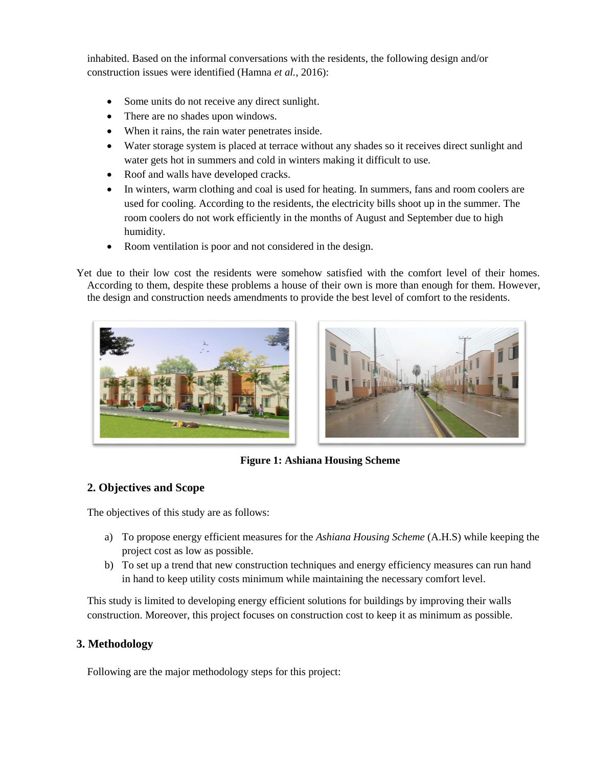inhabited. Based on the informal conversations with the residents, the following design and/or construction issues were identified (Hamna *et al.*, 2016):

- Some units do not receive any direct sunlight.
- There are no shades upon windows.
- When it rains, the rain water penetrates inside.
- Water storage system is placed at terrace without any shades so it receives direct sunlight and water gets hot in summers and cold in winters making it difficult to use.
- Roof and walls have developed cracks.
- In winters, warm clothing and coal is used for heating. In summers, fans and room coolers are used for cooling. According to the residents, the electricity bills shoot up in the summer. The room coolers do not work efficiently in the months of August and September due to high humidity.
- Room ventilation is poor and not considered in the design.

Yet due to their low cost the residents were somehow satisfied with the comfort level of their homes. According to them, despite these problems a house of their own is more than enough for them. However, the design and construction needs amendments to provide the best level of comfort to the residents.





**Figure 1: Ashiana Housing Scheme**

# **2. Objectives and Scope**

The objectives of this study are as follows:

- a) To propose energy efficient measures for the *Ashiana Housing Scheme* (A.H.S) while keeping the project cost as low as possible.
- b) To set up a trend that new construction techniques and energy efficiency measures can run hand in hand to keep utility costs minimum while maintaining the necessary comfort level.

This study is limited to developing energy efficient solutions for buildings by improving their walls construction. Moreover, this project focuses on construction cost to keep it as minimum as possible.

# **3. Methodology**

Following are the major methodology steps for this project: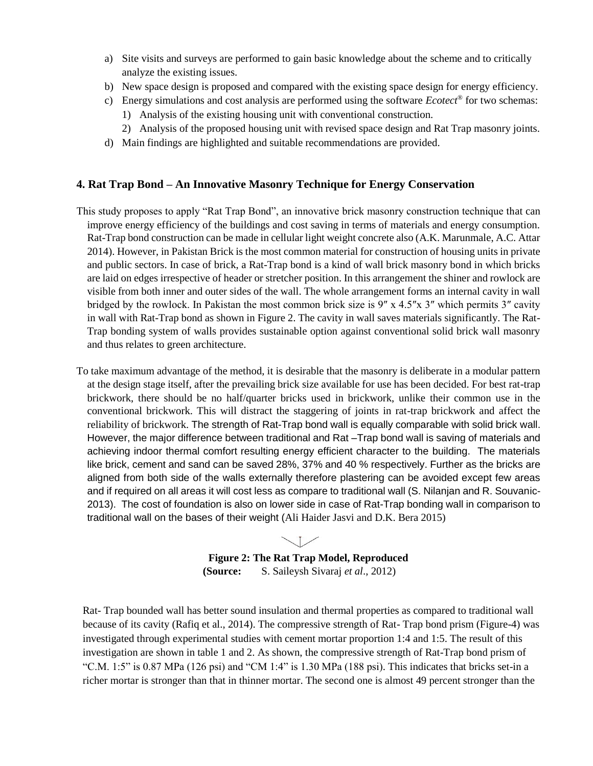- a) Site visits and surveys are performed to gain basic knowledge about the scheme and to critically analyze the existing issues.
- b) New space design is proposed and compared with the existing space design for energy efficiency.
- c) Energy simulations and cost analysis are performed using the software *Ecotect®* for two schemas:
	- 1) Analysis of the existing housing unit with conventional construction.
	- 2) Analysis of the proposed housing unit with revised space design and Rat Trap masonry joints.
- d) Main findings are highlighted and suitable recommendations are provided.

#### **4. Rat Trap Bond – An Innovative Masonry Technique for Energy Conservation**

- This study proposes to apply "Rat Trap Bond", an innovative brick masonry construction technique that can improve energy efficiency of the buildings and cost saving in terms of materials and energy consumption. Rat-Trap bond construction can be made in cellular light weight concrete also (A.K. Marunmale, A.C. Attar 2014). However, in Pakistan Brick is the most common material for construction of housing units in private and public sectors. In case of brick, a Rat-Trap bond is a kind of wall brick masonry bond in which bricks are laid on edges irrespective of header or stretcher position. In this arrangement the shiner and rowlock are visible from both inner and outer sides of the wall. The whole arrangement forms an internal cavity in wall bridged by the rowlock. In Pakistan the most common brick size is 9″ x 4.5″x 3″ which permits 3″ cavity in wall with Rat-Trap bond as shown in Figure 2. The cavity in wall saves materials significantly. The Rat-Trap bonding system of walls provides sustainable option against conventional solid brick wall masonry and thus relates to green architecture.
- To take maximum advantage of the method, it is desirable that the masonry is deliberate in a modular pattern at the design stage itself, after the prevailing brick size available for use has been decided. For best rat-trap brickwork, there should be no half/quarter bricks used in brickwork, unlike their common use in the conventional brickwork. This will distract the staggering of joints in rat-trap brickwork and affect the reliability of brickwork. The strength of Rat-Trap bond wall is equally comparable with solid brick wall. However, the major difference between traditional and Rat –Trap bond wall is saving of materials and achieving indoor thermal comfort resulting energy efficient character to the building. The materials like brick, cement and sand can be saved 28%, 37% and 40 % respectively. Further as the bricks are aligned from both side of the walls externally therefore plastering can be avoided except few areas and if required on all areas it will cost less as compare to traditional wall (S. Nilanjan and R. Souvanic-2013). The cost of foundation is also on lower side in case of Rat-Trap bonding wall in comparison to traditional wall on the bases of their weight (Ali Haider Jasvi and D.K. Bera 2015)

J. **Figure 2: The Rat Trap Model, Reproduced (Source:** S. Saileysh Sivaraj *et al*., 2012)

Rat- Trap bounded wall has better sound insulation and thermal properties as compared to traditional wall because of its cavity (Rafiq et al., 2014). The compressive strength of Rat- Trap bond prism (Figure-4) was investigated through experimental studies with cement mortar proportion 1:4 and 1:5. The result of this investigation are shown in table 1 and 2. As shown, the compressive strength of Rat-Trap bond prism of "C.M.  $1:5"$  is 0.87 MPa (126 psi) and "CM  $1:4"$  is 1.30 MPa (188 psi). This indicates that bricks set-in a richer mortar is stronger than that in thinner mortar. The second one is almost 49 percent stronger than the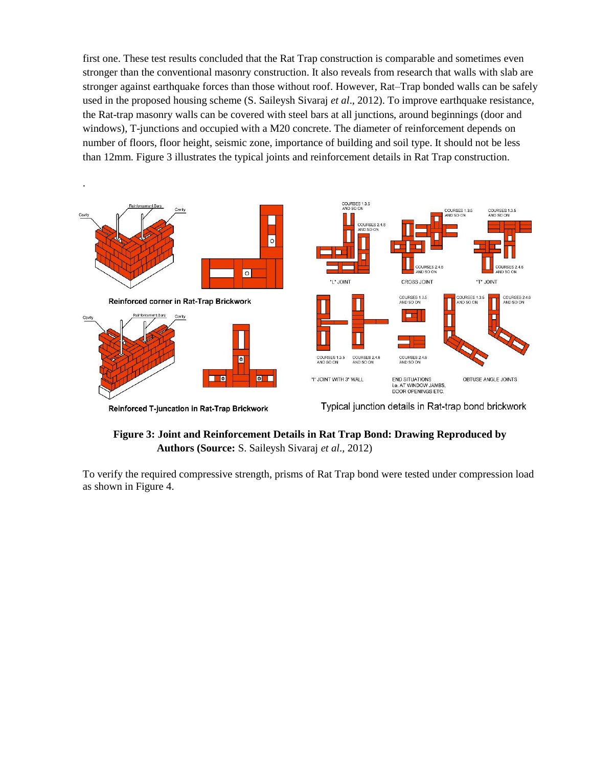first one. These test results concluded that the Rat Trap construction is comparable and sometimes even stronger than the conventional masonry construction. It also reveals from research that walls with slab are stronger against earthquake forces than those without roof. However, Rat–Trap bonded walls can be safely used in the proposed housing scheme (S. Saileysh Sivaraj *et al*., 2012). To improve earthquake resistance, the Rat-trap masonry walls can be covered with steel bars at all junctions, around beginnings (door and windows), T-junctions and occupied with a M20 concrete. The diameter of reinforcement depends on number of floors, floor height, seismic zone, importance of building and soil type. It should not be less than 12mm. Figure 3 illustrates the typical joints and reinforcement details in Rat Trap construction.



Reinforced T-juncation in Rat-Trap Brickwork

.

Typical junction details in Rat-trap bond brickwork

# **Figure 3: Joint and Reinforcement Details in Rat Trap Bond: Drawing Reproduced by Authors (Source:** S. Saileysh Sivaraj *et al*., 2012)

To verify the required compressive strength, prisms of Rat Trap bond were tested under compression load as shown in Figure 4.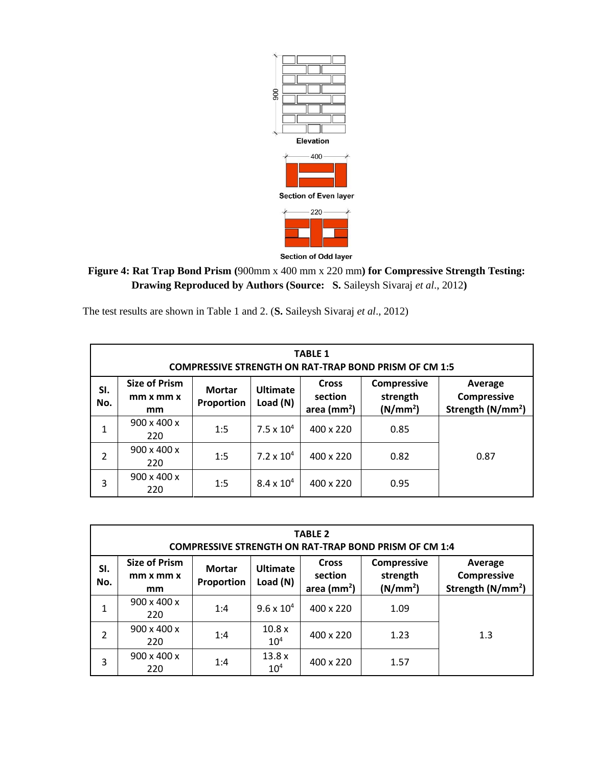

# **Figure 4: Rat Trap Bond Prism (**900mm x 400 mm x 220 mm**) for Compressive Strength Testing: Drawing Reproduced by Authors (Source: S.** Saileysh Sivaraj *et al*., 2012**)**

The test results are shown in Table 1 and 2. (**S.** Saileysh Sivaraj *et al*., 2012)

| <b>TABLE 1</b><br><b>COMPRESSIVE STRENGTH ON RAT-TRAP BOND PRISM OF CM 1:5</b> |                                                     |                             |                               |                                           |                                                        |                                                         |  |  |  |
|--------------------------------------------------------------------------------|-----------------------------------------------------|-----------------------------|-------------------------------|-------------------------------------------|--------------------------------------------------------|---------------------------------------------------------|--|--|--|
| SI.<br>No.                                                                     | <b>Size of Prism</b><br>$mm \times mm \times$<br>mm | <b>Mortar</b><br>Proportion | <b>Ultimate</b><br>Load $(N)$ | <b>Cross</b><br>section<br>area ( $mm2$ ) | <b>Compressive</b><br>strength<br>(N/mm <sup>2</sup> ) | Average<br>Compressive<br>Strength (N/mm <sup>2</sup> ) |  |  |  |
| 1                                                                              | 900 x 400 x<br>220                                  | 1:5                         | $7.5 \times 10^{4}$           | 400 x 220                                 | 0.85                                                   |                                                         |  |  |  |
| $\overline{2}$                                                                 | $900 \times 400 \times$<br>220                      | 1:5                         | $7.2 \times 10^{4}$           | 400 x 220                                 | 0.82                                                   | 0.87                                                    |  |  |  |
| 3                                                                              | $900 \times 400 \times$<br>220                      | 1:5                         | $8.4 \times 10^{4}$           | 400 x 220                                 | 0.95                                                   |                                                         |  |  |  |

| <b>TABLE 2</b><br><b>COMPRESSIVE STRENGTH ON RAT-TRAP BOND PRISM OF CM 1:4</b> |                                                     |                             |                             |                                           |                                                        |                                                         |  |  |  |
|--------------------------------------------------------------------------------|-----------------------------------------------------|-----------------------------|-----------------------------|-------------------------------------------|--------------------------------------------------------|---------------------------------------------------------|--|--|--|
| SI.<br>No.                                                                     | <b>Size of Prism</b><br>$mm \times mm \times$<br>mm | <b>Mortar</b><br>Proportion | <b>Ultimate</b><br>Load (N) | <b>Cross</b><br>section<br>area ( $mm2$ ) | <b>Compressive</b><br>strength<br>(N/mm <sup>2</sup> ) | Average<br>Compressive<br>Strength (N/mm <sup>2</sup> ) |  |  |  |
| 1                                                                              | $900 \times 400 \times$<br>220                      | 1:4                         | $9.6 \times 10^{4}$         | 400 x 220                                 | 1.09                                                   |                                                         |  |  |  |
| $\overline{2}$                                                                 | $900 \times 400 \times$<br>220                      | 1:4                         | 10.8x<br>10 <sup>4</sup>    | 400 x 220                                 | 1.23                                                   | 1.3                                                     |  |  |  |
| 3                                                                              | 900 x 400 x<br>220                                  | 1:4                         | 13.8 x<br>10 <sup>4</sup>   | 400 x 220                                 | 1.57                                                   |                                                         |  |  |  |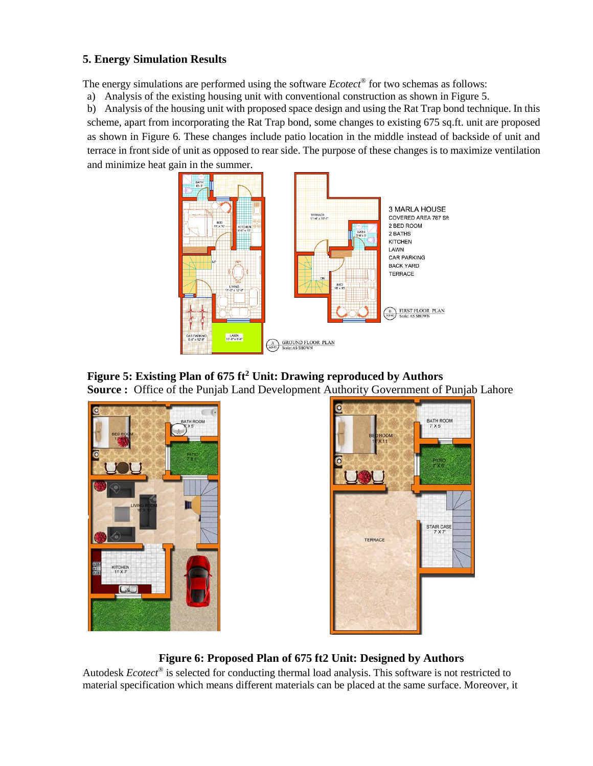# **5. Energy Simulation Results**

The energy simulations are performed using the software *Ecotect®* for two schemas as follows:

a) Analysis of the existing housing unit with conventional construction as shown in Figure 5.

b) Analysis of the housing unit with proposed space design and using the Rat Trap bond technique. In this scheme, apart from incorporating the Rat Trap bond, some changes to existing 675 sq.ft. unit are proposed as shown in Figure 6. These changes include patio location in the middle instead of backside of unit and terrace in front side of unit as opposed to rear side. The purpose of these changes is to maximize ventilation and minimize heat gain in the summer.



**Figure 5: Existing Plan of 675 ft<sup>2</sup> Unit: Drawing reproduced by Authors Source :** Office of the Punjab Land Development Authority Government of Punjab Lahore





**Figure 6: Proposed Plan of 675 ft2 Unit: Designed by Authors**

Autodesk *Ecotect®* is selected for conducting thermal load analysis. This software is not restricted to material specification which means different materials can be placed at the same surface. Moreover, it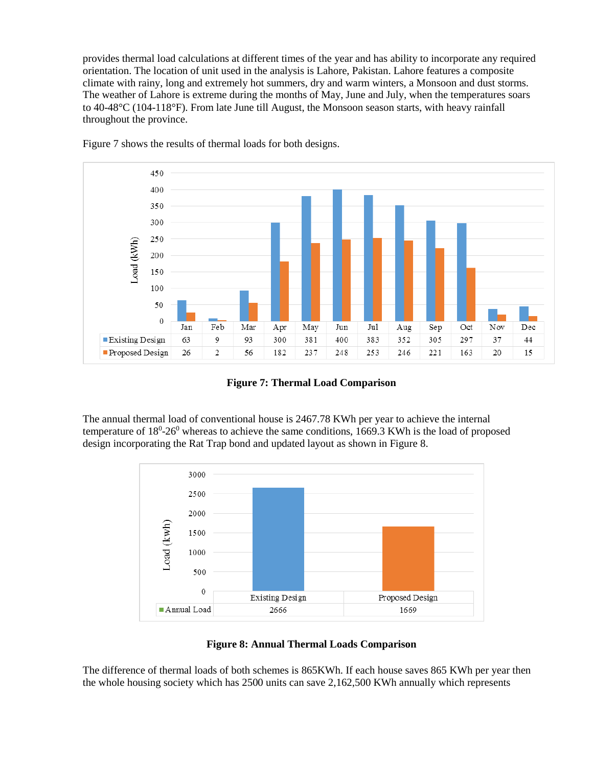provides thermal load calculations at different times of the year and has ability to incorporate any required orientation. The location of unit used in the analysis is Lahore, Pakistan. Lahore features a composite climate with rainy, long and extremely hot summers, dry and warm winters, a Monsoon and dust storms. The weather of Lahore is extreme during the months of May, June and July, when the temperatures soars to 40-48°C (104-118°F). From late June till August, the Monsoon season starts, with heavy rainfall throughout the province.



Figure 7 shows the results of thermal loads for both designs.

**Figure 7: Thermal Load Comparison**

The annual thermal load of conventional house is 2467.78 KWh per year to achieve the internal temperature of  $18^0$ -26<sup>0</sup> whereas to achieve the same conditions, 1669.3 KWh is the load of proposed design incorporating the Rat Trap bond and updated layout as shown in Figure 8.





The difference of thermal loads of both schemes is 865KWh. If each house saves 865 KWh per year then the whole housing society which has 2500 units can save 2,162,500 KWh annually which represents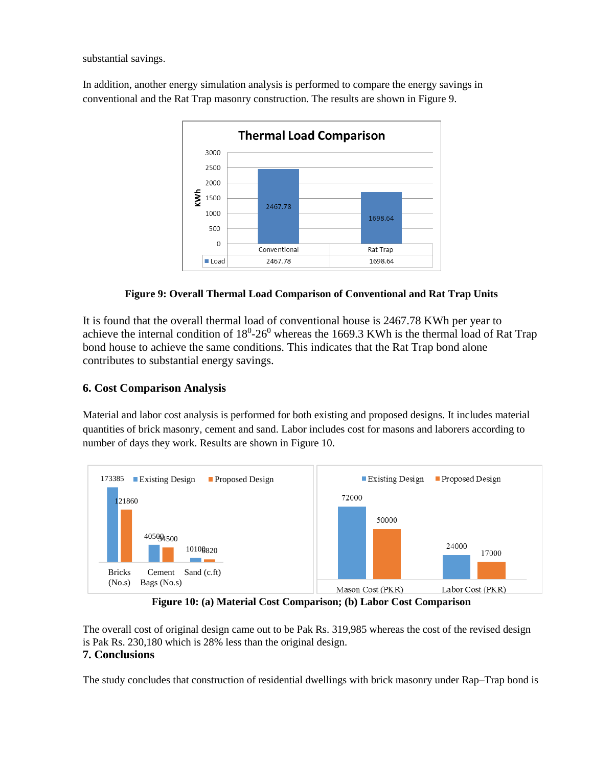substantial savings.

In addition, another energy simulation analysis is performed to compare the energy savings in conventional and the Rat Trap masonry construction. The results are shown in Figure 9.



**Figure 9: Overall Thermal Load Comparison of Conventional and Rat Trap Units**

It is found that the overall thermal load of conventional house is 2467.78 KWh per year to achieve the internal condition of  $18^0$ -26<sup>0</sup> whereas the 1669.3 KWh is the thermal load of Rat Trap bond house to achieve the same conditions. This indicates that the Rat Trap bond alone contributes to substantial energy savings.

# **6. Cost Comparison Analysis**

Material and labor cost analysis is performed for both existing and proposed designs. It includes material quantities of brick masonry, cement and sand. Labor includes cost for masons and laborers according to number of days they work. Results are shown in Figure 10.



**Figure 10: (a) Material Cost Comparison; (b) Labor Cost Comparison**

The overall cost of original design came out to be Pak Rs. 319,985 whereas the cost of the revised design is Pak Rs. 230,180 which is 28% less than the original design. **7. Conclusions**

The study concludes that construction of residential dwellings with brick masonry under Rap–Trap bond is